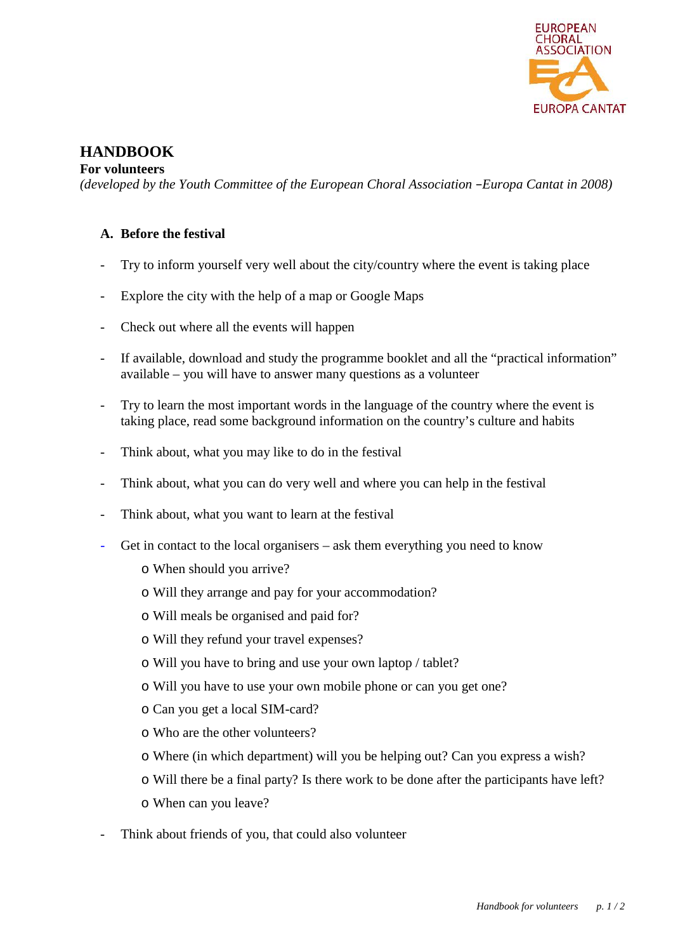

# **HANDBOOK**

#### **For volunteers**

*(developed by the Youth Committee of the European Choral Association –Europa Cantat in 2008)*

### **A. Before the festival**

- Try to inform yourself very well about the city/country where the event is taking place
- Explore the city with the help of a map or Google Maps
- Check out where all the events will happen
- If available, download and study the programme booklet and all the "practical information" available – you will have to answer many questions as a volunteer
- Try to learn the most important words in the language of the country where the event is taking place, read some background information on the country's culture and habits
- Think about, what you may like to do in the festival
- Think about, what you can do very well and where you can help in the festival
- Think about, what you want to learn at the festival
- Get in contact to the local organisers ask them everything you need to know
	- o When should you arrive?
	- o Will they arrange and pay for your accommodation?
	- o Will meals be organised and paid for?
	- o Will they refund your travel expenses?
	- o Will you have to bring and use your own laptop / tablet?
	- o Will you have to use your own mobile phone or can you get one?
	- o Can you get a local SIM-card?
	- o Who are the other volunteers?
	- o Where (in which department) will you be helping out? Can you express a wish?
	- o Will there be a final party? Is there work to be done after the participants have left?
	- o When can you leave?
- Think about friends of you, that could also volunteer